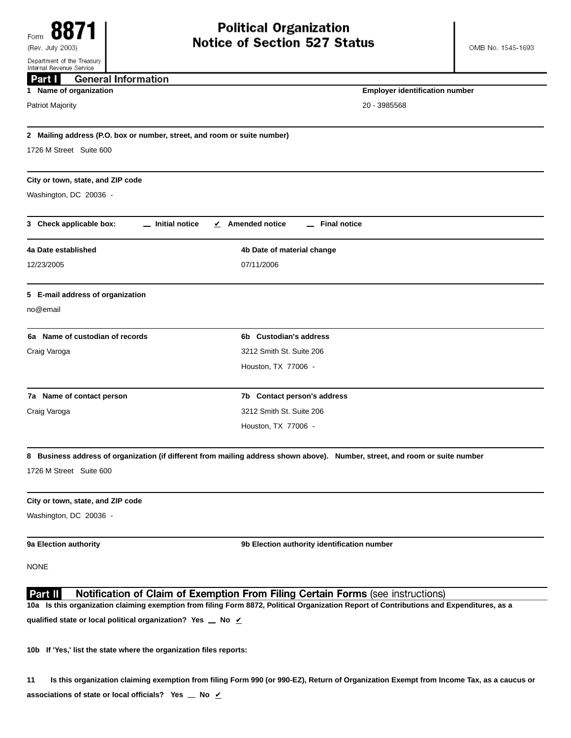| Internal Revenue Service                                                 |                                                                                                                                          |  |
|--------------------------------------------------------------------------|------------------------------------------------------------------------------------------------------------------------------------------|--|
| <b>General Information</b><br>Part I                                     |                                                                                                                                          |  |
| 1 Name of organization                                                   | <b>Employer identification number</b>                                                                                                    |  |
| <b>Patriot Majority</b>                                                  | 20 - 3985568                                                                                                                             |  |
| 2 Mailing address (P.O. box or number, street, and room or suite number) |                                                                                                                                          |  |
| 1726 M Street Suite 600                                                  |                                                                                                                                          |  |
| City or town, state, and ZIP code                                        |                                                                                                                                          |  |
| Washington, DC 20036 -                                                   |                                                                                                                                          |  |
| 3 Check applicable box:<br>_ Initial notice                              | $\angle$ Amended notice<br><b>Final notice</b>                                                                                           |  |
| 4a Date established                                                      | 4b Date of material change                                                                                                               |  |
| 12/23/2005                                                               | 07/11/2006                                                                                                                               |  |
| 5 E-mail address of organization                                         |                                                                                                                                          |  |
| no@email                                                                 |                                                                                                                                          |  |
| 6a Name of custodian of records                                          | 6b Custodian's address                                                                                                                   |  |
| Craig Varoga                                                             | 3212 Smith St. Suite 206                                                                                                                 |  |
|                                                                          | Houston, TX 77006 -                                                                                                                      |  |
| 7a Name of contact person                                                | 7b Contact person's address                                                                                                              |  |
| Craig Varoga                                                             | 3212 Smith St. Suite 206                                                                                                                 |  |
|                                                                          | Houston, TX 77006 -                                                                                                                      |  |
|                                                                          | 8 Business address of organization (if different from mailing address shown above). Number, street, and room or suite number             |  |
| 1726 M Street Suite 600                                                  |                                                                                                                                          |  |
| City or town, state, and ZIP code                                        |                                                                                                                                          |  |
| Washington, DC 20036 -                                                   |                                                                                                                                          |  |
| 9a Election authority                                                    | 9b Election authority identification number                                                                                              |  |
| <b>NONE</b>                                                              |                                                                                                                                          |  |
| Part II                                                                  | Notification of Claim of Exemption From Filing Certain Forms (see instructions)                                                          |  |
|                                                                          | 10a Is this organization claiming exemption from filing Form 8872, Political Organization Report of Contributions and Expenditures, as a |  |
| qualified state or local political organization? Yes _ No $\nu$          |                                                                                                                                          |  |

**10b If 'Yes,' list the state where the organization files reports:**

**11 Is this organization claiming exemption from filing Form 990 (or 990-EZ), Return of Organization Exempt from Income Tax, as a caucus or associations of state or local officials?** Yes  $\angle$  No  $\angle$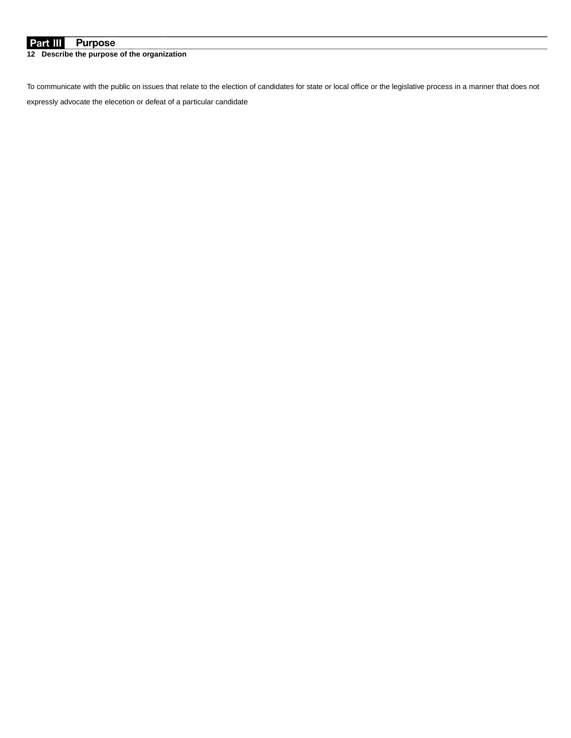## **Purpose** Part III

**12 Describe the purpose of the organization**

To communicate with the public on issues that relate to the election of candidates for state or local office or the legislative process in a manner that does not expressly advocate the elecetion or defeat of a particular candidate